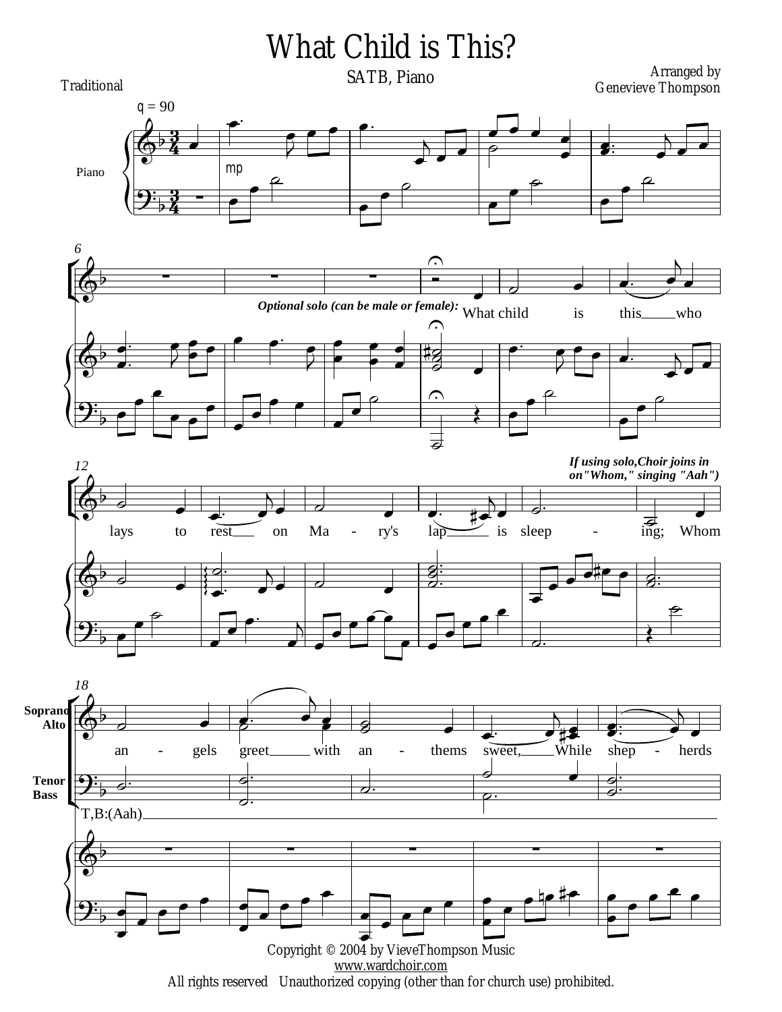

All rights reserved Unauthorized copying (other than for church use) prohibited.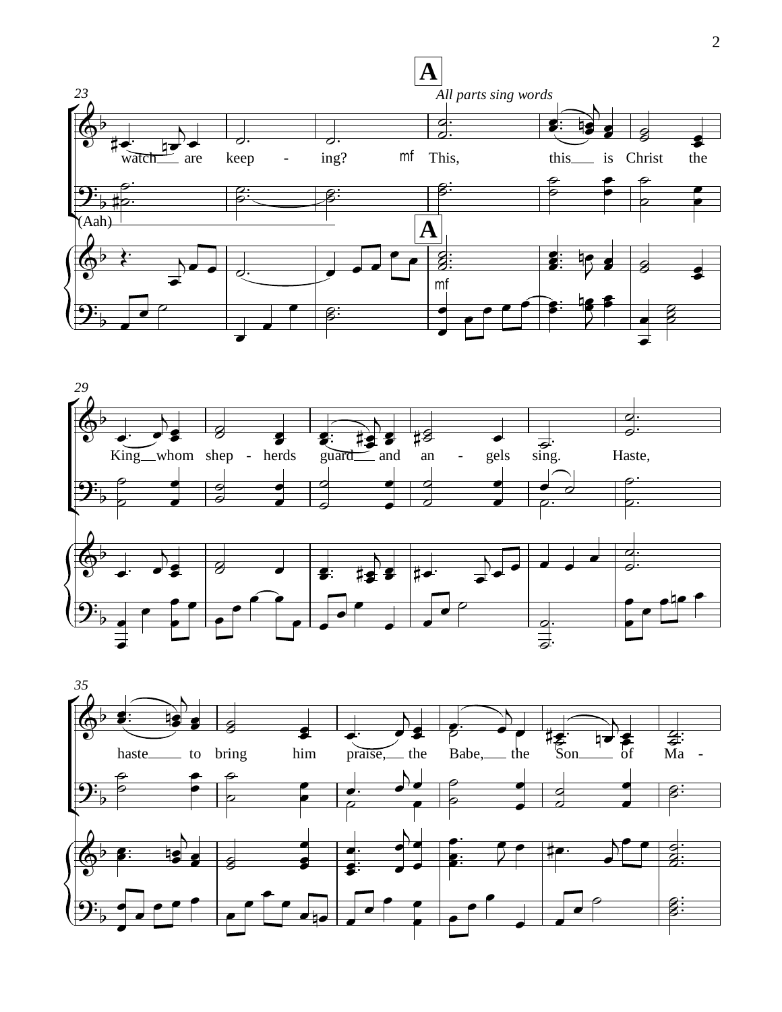



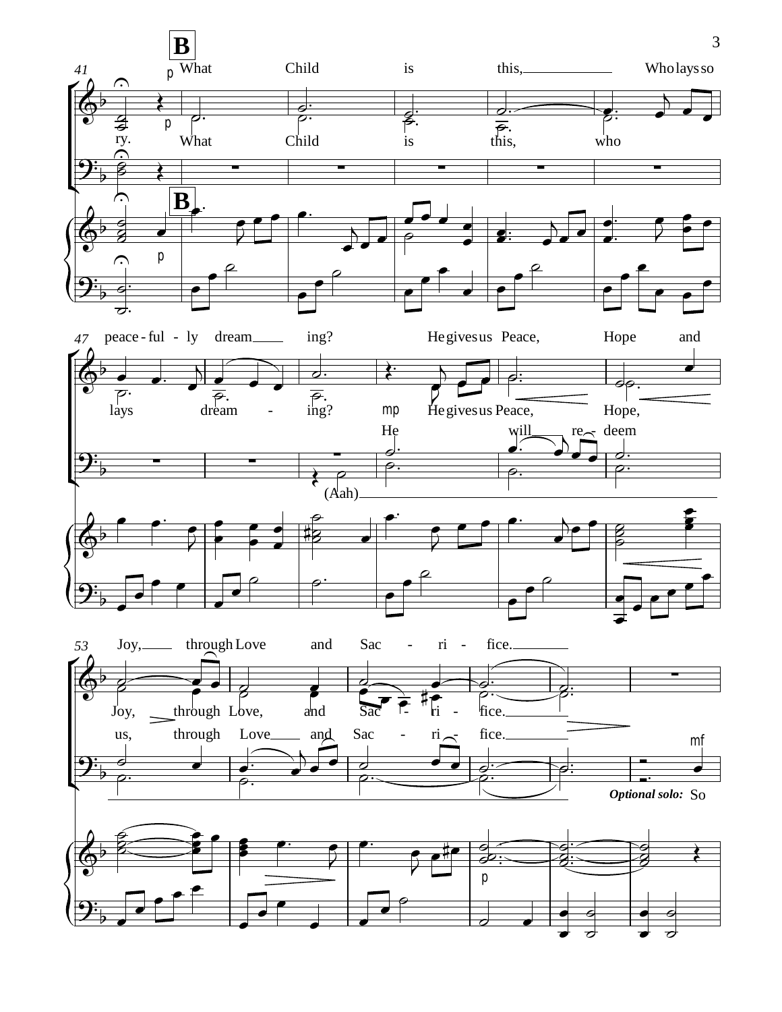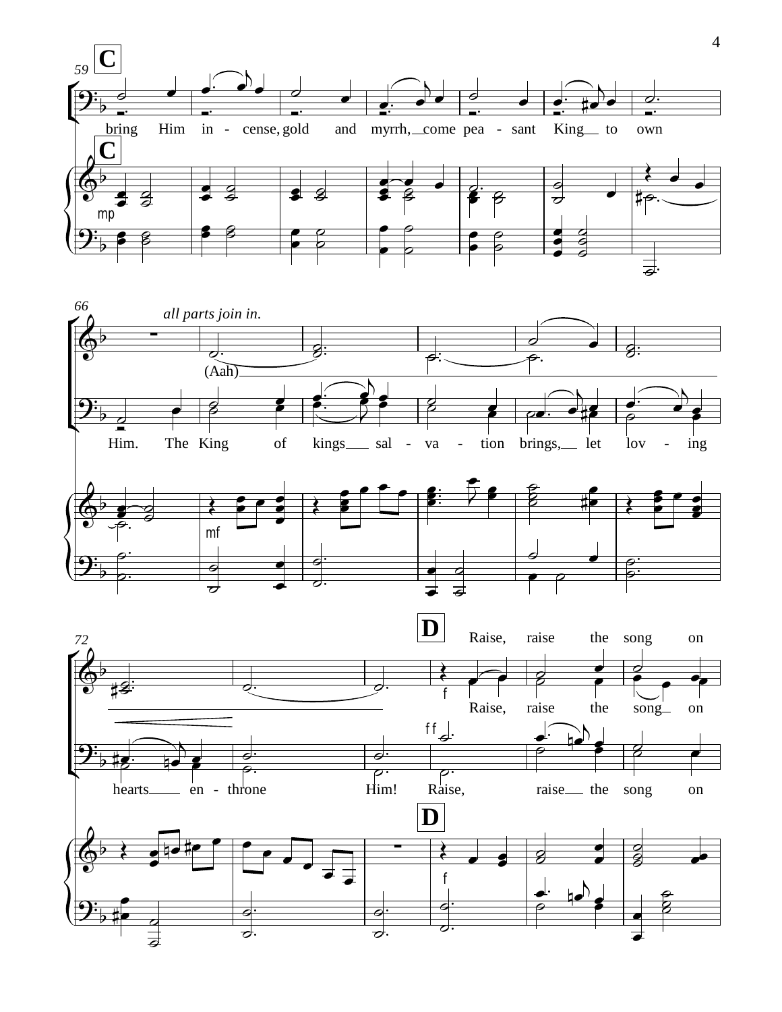

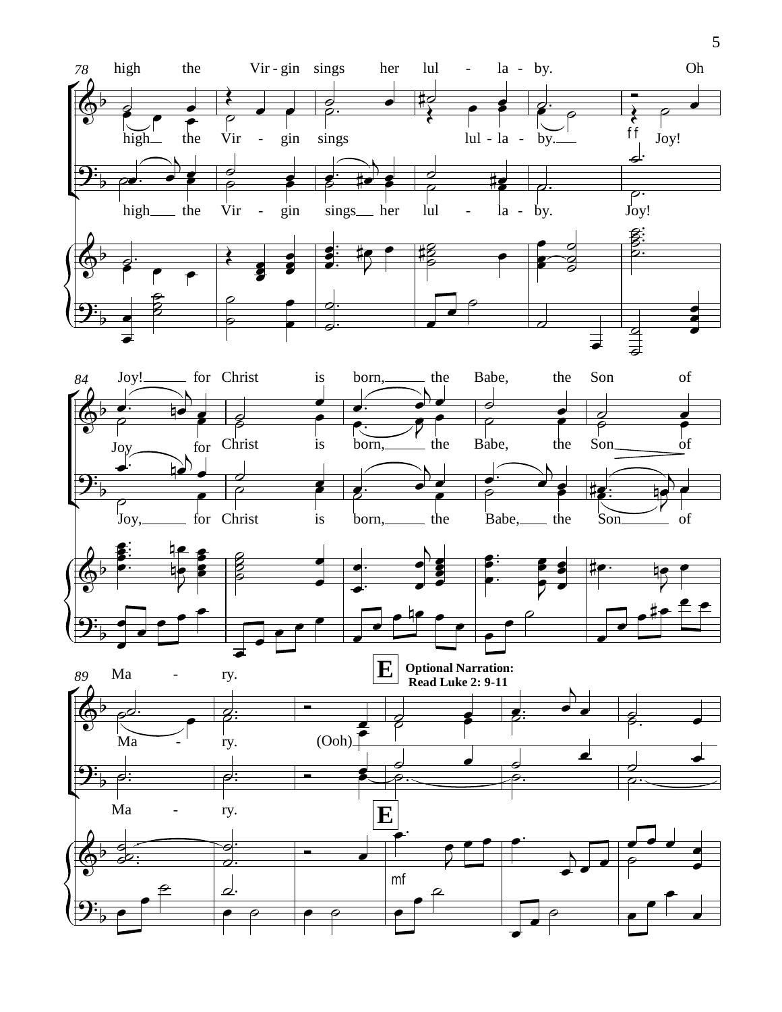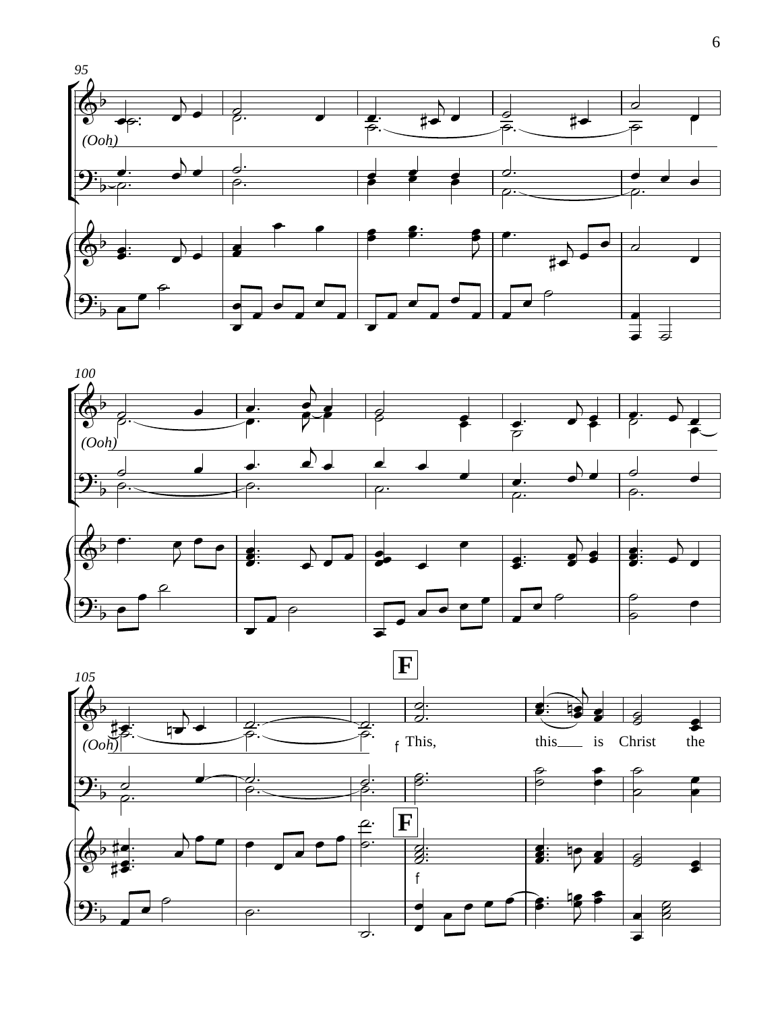